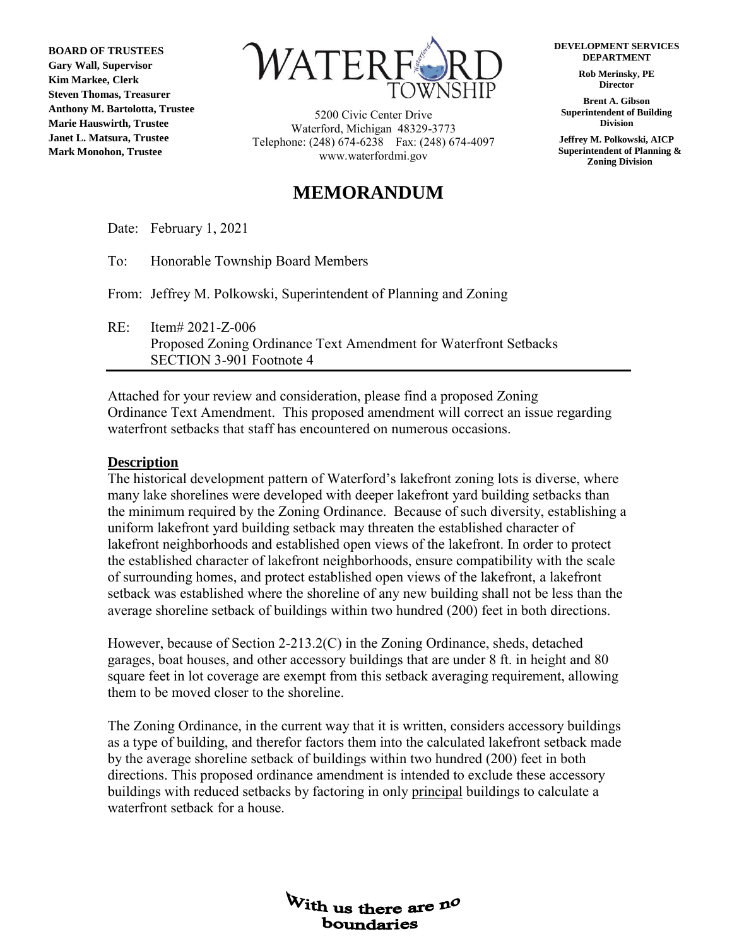**BOARD OF TRUSTEES Gary Wall, Supervisor Kim Markee, Clerk Steven Thomas, Treasurer Anthony M. Bartolotta, Trustee Marie Hauswirth, Trustee Janet L. Matsura, Trustee Mark Monohon, Trustee**



5200 Civic Center Drive Waterford, Michigan 48329-3773 Telephone: (248) 674-6238 Fax: (248) 674-4097 www.waterfordmi.gov

# **MEMORANDUM**

**DEVELOPMENT SERVICES DEPARTMENT**

> **Rob Merinsky, PE Director**

**Brent A. Gibson Superintendent of Building Division**

**Jeffrey M. Polkowski, AICP Superintendent of Planning & Zoning Division** 

Date: February 1, 2021

To: Honorable Township Board Members

From: Jeffrey M. Polkowski, Superintendent of Planning and Zoning

RE: Item# 2021-Z-006 Proposed Zoning Ordinance Text Amendment for Waterfront Setbacks SECTION 3-901 Footnote 4

Attached for your review and consideration, please find a proposed Zoning Ordinance Text Amendment. This proposed amendment will correct an issue regarding waterfront setbacks that staff has encountered on numerous occasions.

# **Description**

The historical development pattern of Waterford's lakefront zoning lots is diverse, where many lake shorelines were developed with deeper lakefront yard building setbacks than the minimum required by the Zoning Ordinance. Because of such diversity, establishing a uniform lakefront yard building setback may threaten the established character of lakefront neighborhoods and established open views of the lakefront. In order to protect the established character of lakefront neighborhoods, ensure compatibility with the scale of surrounding homes, and protect established open views of the lakefront, a lakefront setback was established where the shoreline of any new building shall not be less than the average shoreline setback of buildings within two hundred (200) feet in both directions.

However, because of Section 2-213.2(C) in the Zoning Ordinance, sheds, detached garages, boat houses, and other accessory buildings that are under 8 ft. in height and 80 square feet in lot coverage are exempt from this setback averaging requirement, allowing them to be moved closer to the shoreline.

The Zoning Ordinance, in the current way that it is written, considers accessory buildings as a type of building, and therefor factors them into the calculated lakefront setback made by the average shoreline setback of buildings within two hundred (200) feet in both directions. This proposed ordinance amendment is intended to exclude these accessory buildings with reduced setbacks by factoring in only principal buildings to calculate a waterfront setback for a house.

> With us there are no boundaries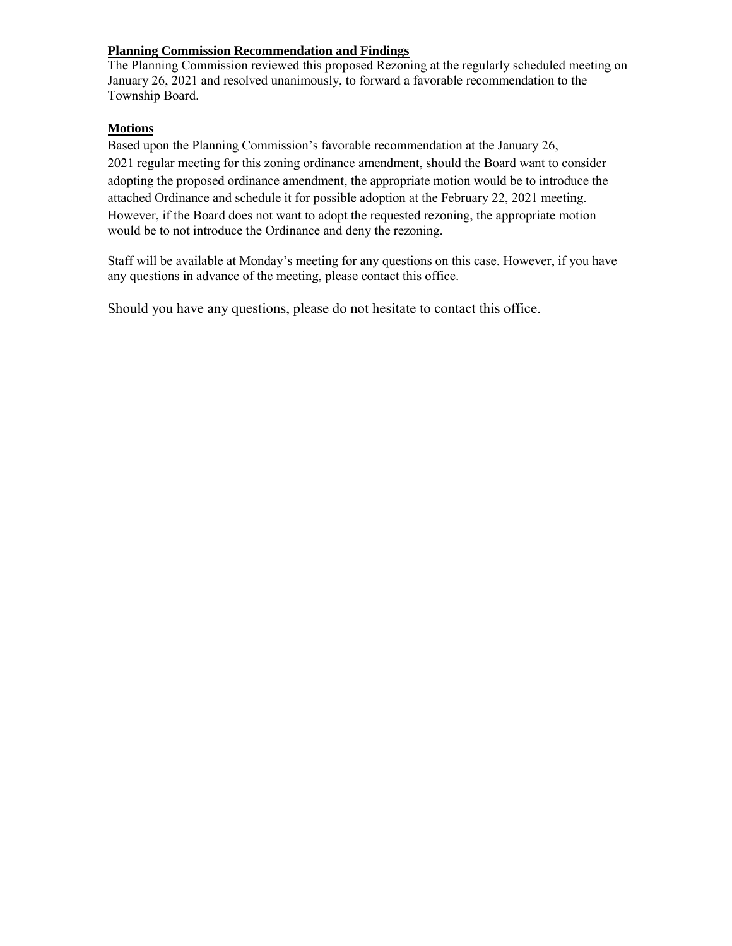# **Planning Commission Recommendation and Findings**

The Planning Commission reviewed this proposed Rezoning at the regularly scheduled meeting on January 26, 2021 and resolved unanimously, to forward a favorable recommendation to the Township Board.

# **Motions**

Based upon the Planning Commission's favorable recommendation at the January 26, 2021 regular meeting for this zoning ordinance amendment, should the Board want to consider adopting the proposed ordinance amendment, the appropriate motion would be to introduce the attached Ordinance and schedule it for possible adoption at the February 22, 2021 meeting. However, if the Board does not want to adopt the requested rezoning, the appropriate motion would be to not introduce the Ordinance and deny the rezoning.

Staff will be available at Monday's meeting for any questions on this case. However, if you have any questions in advance of the meeting, please contact this office.

Should you have any questions, please do not hesitate to contact this office.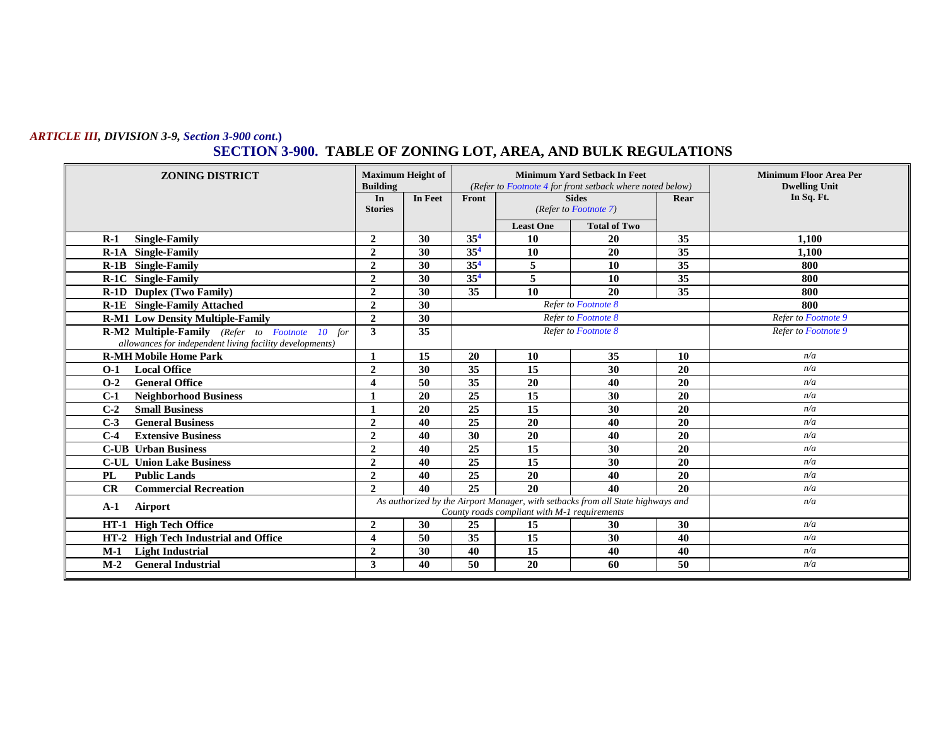### *ARTICLE III, DIVISION 3-9, Section 3-900 cont***.) SECTION 3-900. TABLE OF ZONING LOT, AREA, AND BULK REGULATIONS**

| <b>ZONING DISTRICT</b>                                                                                     | <b>Maximum Height of</b><br><b>Building</b> |                                                                                                                                 | <b>Minimum Yard Setback In Feet</b><br>(Refer to Footnote 4 for front setback where noted below) |                       |                     |                     | <b>Minimum Floor Area Per</b><br><b>Dwelling Unit</b> |
|------------------------------------------------------------------------------------------------------------|---------------------------------------------|---------------------------------------------------------------------------------------------------------------------------------|--------------------------------------------------------------------------------------------------|-----------------------|---------------------|---------------------|-------------------------------------------------------|
|                                                                                                            | In                                          | In Feet                                                                                                                         | Front                                                                                            |                       | <b>Sides</b>        | Rear                | In Sq. Ft.                                            |
|                                                                                                            | <b>Stories</b>                              |                                                                                                                                 |                                                                                                  | (Refer to Footnote 7) |                     |                     |                                                       |
|                                                                                                            |                                             |                                                                                                                                 |                                                                                                  | <b>Least One</b>      | <b>Total of Two</b> |                     |                                                       |
| <b>Single-Family</b><br>$R-1$                                                                              | $\mathbf{2}$                                | 30                                                                                                                              | 35 <sup>4</sup>                                                                                  | -10                   | <b>20</b>           | 35                  | 1.100                                                 |
| R-1A Single-Family                                                                                         | $\overline{2}$                              | 30                                                                                                                              | 35 <sup>4</sup>                                                                                  | 10                    | 20                  | $\overline{35}$     | 1.100                                                 |
| <b>R-1B</b> Single-Family                                                                                  | $\overline{2}$                              | 30                                                                                                                              | 35 <sup>4</sup>                                                                                  | 5                     | 10                  | 35                  | 800                                                   |
| R-1C Single-Family                                                                                         | $\overline{2}$                              | 30                                                                                                                              | 35 <sup>4</sup>                                                                                  | 5                     | 10                  | 35                  | 800                                                   |
| R-1D Duplex (Two Family)                                                                                   | $\overline{2}$                              | 30                                                                                                                              | 35                                                                                               | 10                    | 20                  | 35                  | 800                                                   |
| <b>R-1E</b> Single-Family Attached                                                                         | $\overline{2}$                              | 30                                                                                                                              | Refer to Footnote 8                                                                              |                       |                     | 800                 |                                                       |
| <b>R-M1 Low Density Multiple-Family</b>                                                                    | $\overline{2}$                              | 30                                                                                                                              | Refer to Footnote 8                                                                              |                       |                     | Refer to Footnote 9 |                                                       |
| R-M2 Multiple-Family (Refer to Footnote 10 for<br>allowances for independent living facility developments) | 3                                           | 35                                                                                                                              | Refer to Footnote 8                                                                              |                       |                     | Refer to Footnote 9 |                                                       |
| <b>R-MH Mobile Home Park</b>                                                                               | 1                                           | 15                                                                                                                              | 20                                                                                               | 10                    | 35                  | 10                  | n/a                                                   |
| <b>Local Office</b><br>$O-1$                                                                               | $\overline{2}$                              | 30                                                                                                                              | 35                                                                                               | 15                    | 30                  | 20                  | n/a                                                   |
| <b>General Office</b><br>$O-2$                                                                             | $\boldsymbol{\Delta}$                       | 50                                                                                                                              | 35                                                                                               | 20                    | 40                  | 20                  | n/a                                                   |
| <b>Neighborhood Business</b><br>$C-1$                                                                      |                                             | 20                                                                                                                              | 25                                                                                               | 15                    | 30                  | 20                  | n/a                                                   |
| $C-2$<br><b>Small Business</b>                                                                             |                                             | 20                                                                                                                              | $\overline{25}$                                                                                  | $\overline{15}$       | 30                  | 20                  | n/a                                                   |
| $C-3$<br><b>General Business</b>                                                                           | $\mathbf{2}$                                | 40                                                                                                                              | 25                                                                                               | 20                    | 40                  | 20                  | n/a                                                   |
| $C-4$<br><b>Extensive Business</b>                                                                         | $\mathbf{2}$                                | 40                                                                                                                              | 30                                                                                               | 20                    | 40                  | 20                  | n/a                                                   |
| <b>C-UB</b> Urban Business                                                                                 | $\mathbf{2}$                                | 40                                                                                                                              | 25                                                                                               | 15                    | 30                  | 20                  | n/a                                                   |
| <b>C-UL Union Lake Business</b>                                                                            | $\overline{2}$                              | 40                                                                                                                              | 25                                                                                               | 15                    | 30                  | 20                  | n/a                                                   |
| <b>Public Lands</b><br><b>PL</b>                                                                           | $\overline{2}$                              | 40                                                                                                                              | 25                                                                                               | 20                    | 40                  | 20                  | n/a                                                   |
| CR<br><b>Commercial Recreation</b>                                                                         | $\mathbf{2}$                                | 40                                                                                                                              | 25                                                                                               | 20                    | 40                  | 20                  | n/a                                                   |
| Airport<br>$A-1$                                                                                           |                                             | As authorized by the Airport Manager, with setbacks from all State highways and<br>County roads compliant with M-1 requirements |                                                                                                  |                       |                     |                     | n/a                                                   |
| HT-1 High Tech Office                                                                                      | $\mathbf{2}$                                | 30                                                                                                                              | 25                                                                                               | 15                    | 30                  | 30                  | n/a                                                   |
| HT-2 High Tech Industrial and Office                                                                       | $\boldsymbol{\Delta}$                       | 50                                                                                                                              | 35                                                                                               | 15                    | 30                  | 40                  | n/a                                                   |
| <b>Light Industrial</b><br>$M-1$                                                                           | $\mathbf{2}$                                | 30                                                                                                                              | 40                                                                                               | 15                    | 40                  | 40                  | n/a                                                   |
| <b>General Industrial</b><br>$M-2$                                                                         | 3                                           | 40                                                                                                                              | 50                                                                                               | 20                    | 60                  | 50                  | n/a                                                   |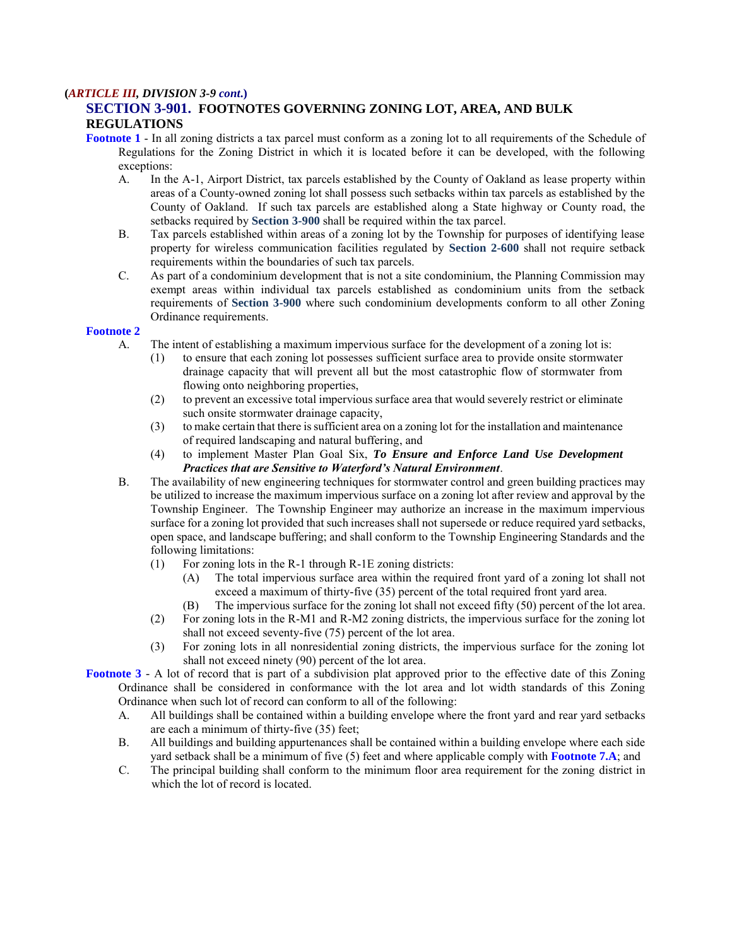### **(***ARTICLE III, DIVISION 3-9 cont***.)**

# **SECTION 3-901. FOOTNOTES GOVERNING ZONING LOT, AREA, AND BULK REGULATIONS**

**Footnote 1** - In all zoning districts a tax parcel must conform as a zoning lot to all requirements of the Schedule of Regulations for the Zoning District in which it is located before it can be developed, with the following exceptions:

- A. In the A-1, Airport District, tax parcels established by the County of Oakland as lease property within areas of a County-owned zoning lot shall possess such setbacks within tax parcels as established by the County of Oakland. If such tax parcels are established along a State highway or County road, the setbacks required by **Section 3-900** shall be required within the tax parcel.
- B. Tax parcels established within areas of a zoning lot by the Township for purposes of identifying lease property for wireless communication facilities regulated by **Section 2-600** shall not require setback requirements within the boundaries of such tax parcels.
- C. As part of a condominium development that is not a site condominium, the Planning Commission may exempt areas within individual tax parcels established as condominium units from the setback requirements of **Section 3-900** where such condominium developments conform to all other Zoning Ordinance requirements.

#### **Footnote 2**

- A. The intent of establishing a maximum impervious surface for the development of a zoning lot is:
	- (1) to ensure that each zoning lot possesses sufficient surface area to provide onsite stormwater drainage capacity that will prevent all but the most catastrophic flow of stormwater from flowing onto neighboring properties,
	- (2) to prevent an excessive total impervious surface area that would severely restrict or eliminate such onsite stormwater drainage capacity,
	- (3) to make certain that there is sufficient area on a zoning lot for the installation and maintenance of required landscaping and natural buffering, and
	- (4) to implement Master Plan Goal Six, *To Ensure and Enforce Land Use Development Practices that are Sensitive to Waterford's Natural Environment*.
- B. The availability of new engineering techniques for stormwater control and green building practices may be utilized to increase the maximum impervious surface on a zoning lot after review and approval by the Township Engineer. The Township Engineer may authorize an increase in the maximum impervious surface for a zoning lot provided that such increases shall not supersede or reduce required yard setbacks, open space, and landscape buffering; and shall conform to the Township Engineering Standards and the following limitations:
	- (1) For zoning lots in the R-1 through R-1E zoning districts:
		- (A) The total impervious surface area within the required front yard of a zoning lot shall not exceed a maximum of thirty-five (35) percent of the total required front yard area.
		- (B) The impervious surface for the zoning lot shall not exceed fifty (50) percent of the lot area.
	- (2) For zoning lots in the R-M1 and R-M2 zoning districts, the impervious surface for the zoning lot shall not exceed seventy-five (75) percent of the lot area.
	- (3) For zoning lots in all nonresidential zoning districts, the impervious surface for the zoning lot shall not exceed ninety (90) percent of the lot area.

**Footnote 3** - A lot of record that is part of a subdivision plat approved prior to the effective date of this Zoning Ordinance shall be considered in conformance with the lot area and lot width standards of this Zoning Ordinance when such lot of record can conform to all of the following:

- A. All buildings shall be contained within a building envelope where the front yard and rear yard setbacks are each a minimum of thirty-five (35) feet;
- B. All buildings and building appurtenances shall be contained within a building envelope where each side yard setback shall be a minimum of five (5) feet and where applicable comply with **Footnote 7.A**; and
- C. The principal building shall conform to the minimum floor area requirement for the zoning district in which the lot of record is located.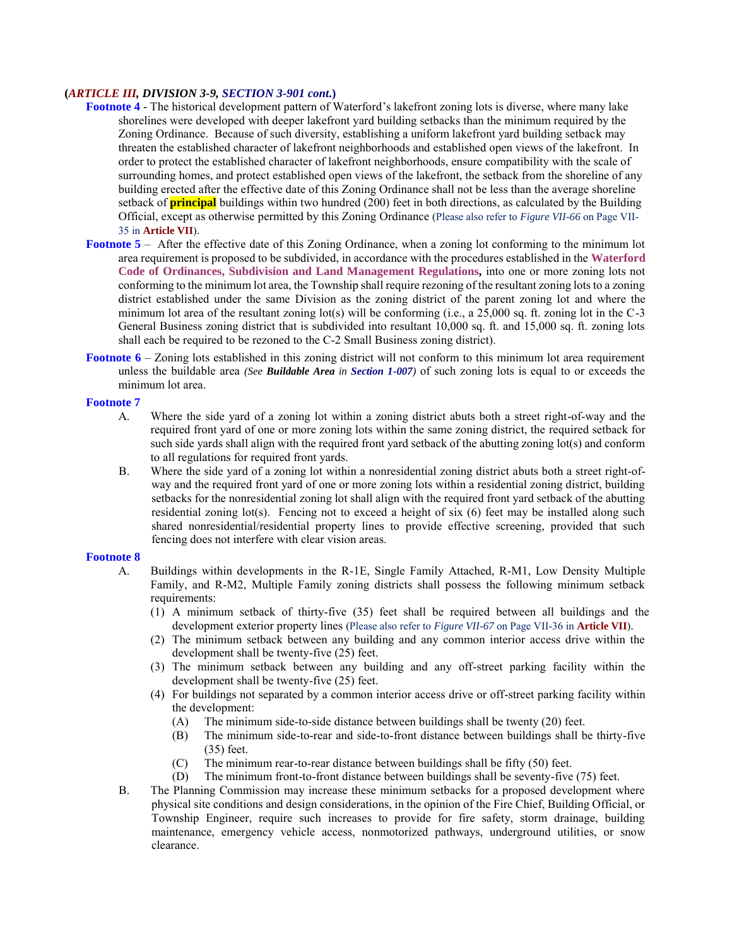### **(***ARTICLE III, DIVISION 3-9, SECTION 3-901 cont***.)**

- **Footnote 4** *-* The historical development pattern of Waterford's lakefront zoning lots is diverse, where many lake shorelines were developed with deeper lakefront yard building setbacks than the minimum required by the Zoning Ordinance. Because of such diversity, establishing a uniform lakefront yard building setback may threaten the established character of lakefront neighborhoods and established open views of the lakefront. In order to protect the established character of lakefront neighborhoods, ensure compatibility with the scale of surrounding homes, and protect established open views of the lakefront, the setback from the shoreline of any building erected after the effective date of this Zoning Ordinance shall not be less than the average shoreline setback of **principal** buildings within two hundred (200) feet in both directions, as calculated by the Building Official, except as otherwise permitted by this Zoning Ordinance (Please also refer to *Figure VII-66* on Page VII-35 in **Article VII**).
- **Footnote 5** After the effective date of this Zoning Ordinance, when a zoning lot conforming to the minimum lot area requirement is proposed to be subdivided, in accordance with the procedures established in the **Waterford Code of Ordinances, Subdivision and Land Management Regulations,** into one or more zoning lots not conforming to the minimum lot area, the Township shall require rezoning of the resultant zoning lots to a zoning district established under the same Division as the zoning district of the parent zoning lot and where the minimum lot area of the resultant zoning lot(s) will be conforming (i.e., a 25,000 sq. ft. zoning lot in the C-3 General Business zoning district that is subdivided into resultant 10,000 sq. ft. and 15,000 sq. ft. zoning lots shall each be required to be rezoned to the C-2 Small Business zoning district).
- **Footnote 6** Zoning lots established in this zoning district will not conform to this minimum lot area requirement unless the buildable area *(See Buildable Area in Section 1-007)* of such zoning lots is equal to or exceeds the minimum lot area.

#### **Footnote 7**

- A. Where the side yard of a zoning lot within a zoning district abuts both a street right-of-way and the required front yard of one or more zoning lots within the same zoning district, the required setback for such side yards shall align with the required front yard setback of the abutting zoning lot(s) and conform to all regulations for required front yards.
- B. Where the side yard of a zoning lot within a nonresidential zoning district abuts both a street right-ofway and the required front yard of one or more zoning lots within a residential zoning district, building setbacks for the nonresidential zoning lot shall align with the required front yard setback of the abutting residential zoning lot(s). Fencing not to exceed a height of six (6) feet may be installed along such shared nonresidential/residential property lines to provide effective screening, provided that such fencing does not interfere with clear vision areas.

#### **Footnote 8**

- A. Buildings within developments in the R-1E, Single Family Attached, R-M1, Low Density Multiple Family, and R-M2, Multiple Family zoning districts shall possess the following minimum setback requirements:
	- (1) A minimum setback of thirty-five (35) feet shall be required between all buildings and the development exterior property lines (Please also refer to *Figure VII-67* on Page VII-36 in **Article VII**).
	- (2) The minimum setback between any building and any common interior access drive within the development shall be twenty-five (25) feet.
	- (3) The minimum setback between any building and any off-street parking facility within the development shall be twenty-five (25) feet.
	- (4) For buildings not separated by a common interior access drive or off-street parking facility within the development:
		- (A) The minimum side-to-side distance between buildings shall be twenty (20) feet.
		- (B) The minimum side-to-rear and side-to-front distance between buildings shall be thirty-five (35) feet.
		- (C) The minimum rear-to-rear distance between buildings shall be fifty (50) feet.
		- (D) The minimum front-to-front distance between buildings shall be seventy-five (75) feet.
- B. The Planning Commission may increase these minimum setbacks for a proposed development where physical site conditions and design considerations, in the opinion of the Fire Chief, Building Official, or Township Engineer, require such increases to provide for fire safety, storm drainage, building maintenance, emergency vehicle access, nonmotorized pathways, underground utilities, or snow clearance.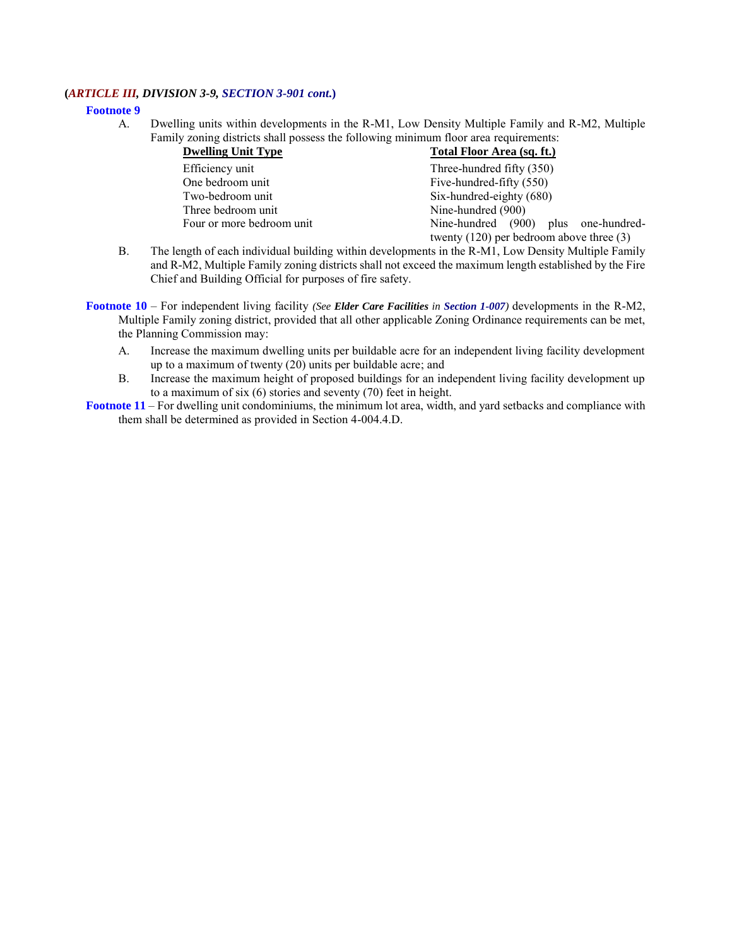### **(***ARTICLE III, DIVISION 3-9, SECTION 3-901 cont***.)**

#### **Footnote 9**

A. Dwelling units within developments in the R-M1, Low Density Multiple Family and R-M2, Multiple Family zoning districts shall possess the following minimum floor area requirements:

| <b>Dwelling Unit Type</b> | <b>Total Floor Area (sq. ft.)</b>            |  |  |  |  |
|---------------------------|----------------------------------------------|--|--|--|--|
| Efficiency unit           | Three-hundred fifty (350)                    |  |  |  |  |
| One bedroom unit          | Five-hundred-fifty (550)                     |  |  |  |  |
| Two-bedroom unit          | Six-hundred-eighty (680)                     |  |  |  |  |
| Three bedroom unit        | Nine-hundred (900)                           |  |  |  |  |
| Four or more bedroom unit | Nine-hundred (900) plus one-hundred-         |  |  |  |  |
|                           | twenty $(120)$ per bedroom above three $(3)$ |  |  |  |  |

- B. The length of each individual building within developments in the R-M1, Low Density Multiple Family and R-M2, Multiple Family zoning districts shall not exceed the maximum length established by the Fire Chief and Building Official for purposes of fire safety.
- **Footnote 10** *–* For independent living facility *(See Elder Care Facilities in Section 1-007)* developments in the R-M2, Multiple Family zoning district, provided that all other applicable Zoning Ordinance requirements can be met, the Planning Commission may:
	- A. Increase the maximum dwelling units per buildable acre for an independent living facility development up to a maximum of twenty (20) units per buildable acre; and
	- B. Increase the maximum height of proposed buildings for an independent living facility development up to a maximum of six (6) stories and seventy (70) feet in height.
- **Footnote 11** *–* For dwelling unit condominiums, the minimum lot area, width, and yard setbacks and compliance with them shall be determined as provided in Section 4-004.4.D.